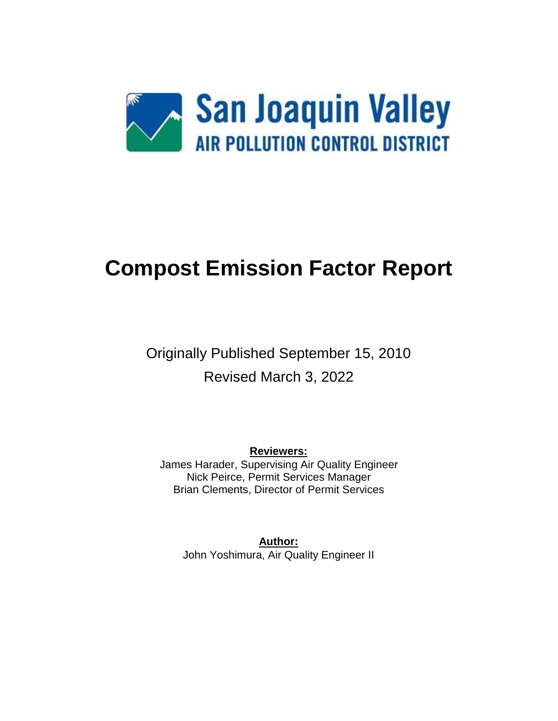

# **Compost Emission Factor Report**

# Originally Published September 15, 2010 Revised March 3, 2022

**Reviewers:** James Harader, Supervising Air Quality Engineer Nick Peirce, Permit Services Manager Brian Clements, Director of Permit Services

**Author:** John Yoshimura, Air Quality Engineer II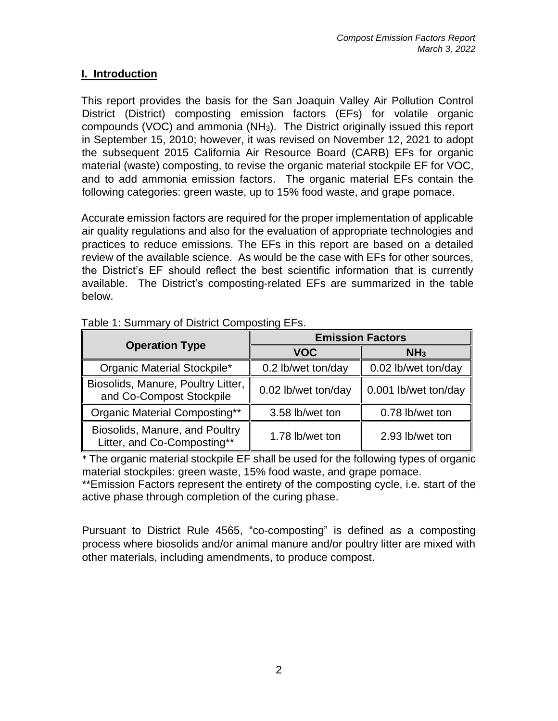#### **I. Introduction**

This report provides the basis for the San Joaquin Valley Air Pollution Control District (District) composting emission factors (EFs) for volatile organic compounds (VOC) and ammonia ( $NH<sub>3</sub>$ ). The District originally issued this report in September 15, 2010; however, it was revised on November 12, 2021 to adopt the subsequent 2015 California Air Resource Board (CARB) EFs for organic material (waste) composting, to revise the organic material stockpile EF for VOC, and to add ammonia emission factors. The organic material EFs contain the following categories: green waste, up to 15% food waste, and grape pomace.

Accurate emission factors are required for the proper implementation of applicable air quality regulations and also for the evaluation of appropriate technologies and practices to reduce emissions. The EFs in this report are based on a detailed review of the available science. As would be the case with EFs for other sources, the District's EF should reflect the best scientific information that is currently available. The District's composting-related EFs are summarized in the table below.

| <b>Operation Type</b>                                          | <b>Emission Factors</b> |                      |  |
|----------------------------------------------------------------|-------------------------|----------------------|--|
|                                                                | <b>VOC</b>              | NH <sub>3</sub>      |  |
| Organic Material Stockpile*                                    | 0.2 lb/wet ton/day      | 0.02 lb/wet ton/day  |  |
| Biosolids, Manure, Poultry Litter,<br>and Co-Compost Stockpile | 0.02 lb/wet ton/day     | 0.001 lb/wet ton/day |  |
| Organic Material Composting**                                  | 3.58 lb/wet ton         | 0.78 lb/wet ton      |  |
| Biosolids, Manure, and Poultry<br>Litter, and Co-Composting**  | 1.78 lb/wet ton         | 2.93 lb/wet ton      |  |

Table 1: Summary of District Composting EFs.

\* The organic material stockpile EF shall be used for the following types of organic material stockpiles: green waste, 15% food waste, and grape pomace.

\*\*Emission Factors represent the entirety of the composting cycle, i.e. start of the active phase through completion of the curing phase.

Pursuant to District Rule 4565, "co-composting" is defined as a composting process where biosolids and/or animal manure and/or poultry litter are mixed with other materials, including amendments, to produce compost.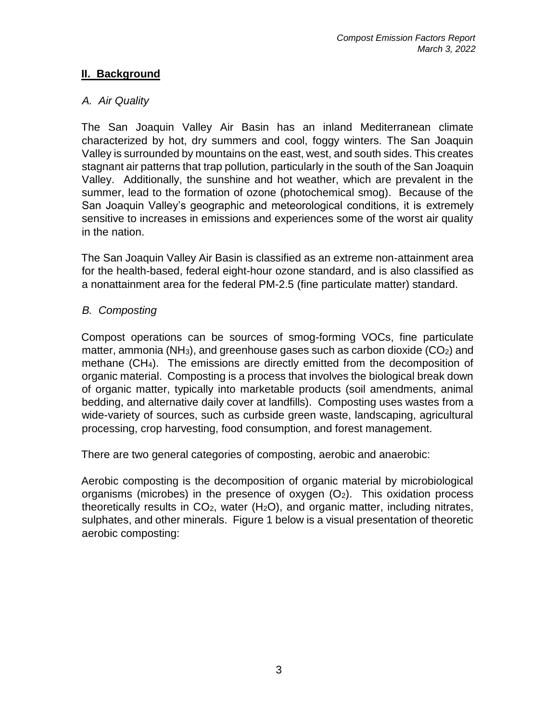## **II. Background**

#### *A. Air Quality*

The San Joaquin Valley Air Basin has an inland Mediterranean climate characterized by hot, dry summers and cool, foggy winters. The San Joaquin Valley is surrounded by mountains on the east, west, and south sides. This creates stagnant air patterns that trap pollution, particularly in the south of the San Joaquin Valley. Additionally, the sunshine and hot weather, which are prevalent in the summer, lead to the formation of ozone (photochemical smog). Because of the San Joaquin Valley's geographic and meteorological conditions, it is extremely sensitive to increases in emissions and experiences some of the worst air quality in the nation.

The San Joaquin Valley Air Basin is classified as an extreme non-attainment area for the health-based, federal eight-hour ozone standard, and is also classified as a nonattainment area for the federal PM-2.5 (fine particulate matter) standard.

#### *B. Composting*

Compost operations can be sources of smog-forming VOCs, fine particulate matter, ammonia (NH<sub>3</sub>), and greenhouse gases such as carbon dioxide  $(CO<sub>2</sub>)$  and methane (CH4). The emissions are directly emitted from the decomposition of organic material. Composting is a process that involves the biological break down of organic matter, typically into marketable products (soil amendments, animal bedding, and alternative daily cover at landfills). Composting uses wastes from a wide-variety of sources, such as curbside green waste, landscaping, agricultural processing, crop harvesting, food consumption, and forest management.

There are two general categories of composting, aerobic and anaerobic:

Aerobic composting is the decomposition of organic material by microbiological organisms (microbes) in the presence of oxygen  $(O_2)$ . This oxidation process theoretically results in  $CO<sub>2</sub>$ , water (H<sub>2</sub>O), and organic matter, including nitrates, sulphates, and other minerals. Figure 1 below is a visual presentation of theoretic aerobic composting: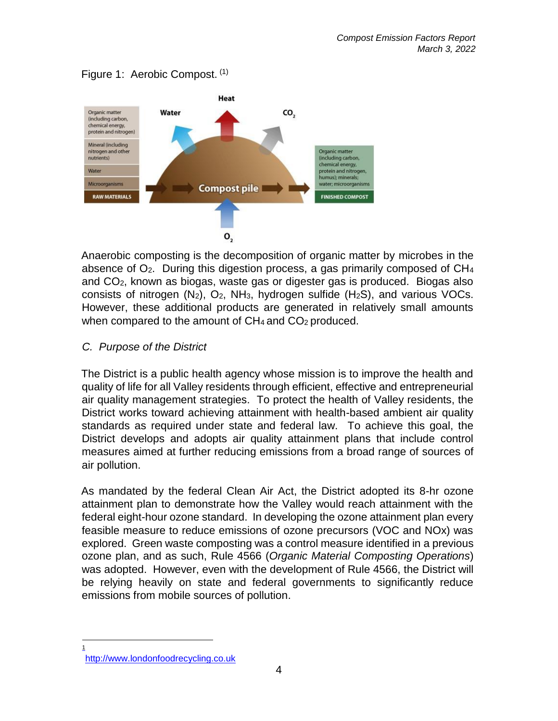

Figure 1: Aerobic Compost. (1)

Anaerobic composting is the decomposition of organic matter by microbes in the absence of  $O<sub>2</sub>$ . During this digestion process, a gas primarily composed of  $CH<sub>4</sub>$ and CO2, known as biogas, waste gas or digester gas is produced. Biogas also consists of nitrogen  $(N_2)$ ,  $O_2$ , NH<sub>3</sub>, hydrogen sulfide  $(H_2S)$ , and various VOCs. However, these additional products are generated in relatively small amounts when compared to the amount of  $CH_4$  and  $CO_2$  produced.

#### *C. Purpose of the District*

The District is a public health agency whose mission is to improve the health and quality of life for all Valley residents through efficient, effective and entrepreneurial air quality management strategies. To protect the health of Valley residents, the District works toward achieving attainment with health-based ambient air quality standards as required under state and federal law. To achieve this goal, the District develops and adopts air quality attainment plans that include control measures aimed at further reducing emissions from a broad range of sources of air pollution.

As mandated by the federal Clean Air Act, the District adopted its 8-hr ozone attainment plan to demonstrate how the Valley would reach attainment with the federal eight-hour ozone standard. In developing the ozone attainment plan every feasible measure to reduce emissions of ozone precursors (VOC and NOx) was explored. Green waste composting was a control measure identified in a previous ozone plan, and as such, Rule 4566 (*Organic Material Composting Operations*) was adopted. However, even with the development of Rule 4566, the District will be relying heavily on state and federal governments to significantly reduce emissions from mobile sources of pollution.

 $\overline{1}$ 

http://www.londonfoodrecycling.co.uk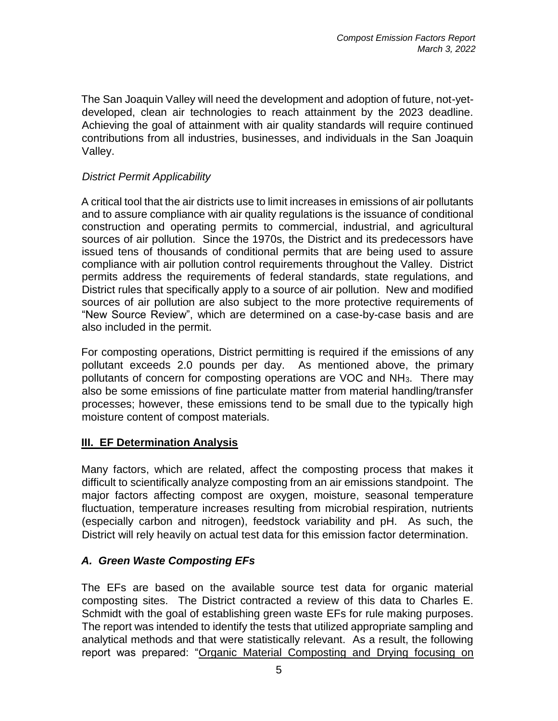The San Joaquin Valley will need the development and adoption of future, not-yetdeveloped, clean air technologies to reach attainment by the 2023 deadline. Achieving the goal of attainment with air quality standards will require continued contributions from all industries, businesses, and individuals in the San Joaquin Valley.

# *District Permit Applicability*

A critical tool that the air districts use to limit increases in emissions of air pollutants and to assure compliance with air quality regulations is the issuance of conditional construction and operating permits to commercial, industrial, and agricultural sources of air pollution. Since the 1970s, the District and its predecessors have issued tens of thousands of conditional permits that are being used to assure compliance with air pollution control requirements throughout the Valley. District permits address the requirements of federal standards, state regulations, and District rules that specifically apply to a source of air pollution. New and modified sources of air pollution are also subject to the more protective requirements of "New Source Review", which are determined on a case-by-case basis and are also included in the permit.

For composting operations, District permitting is required if the emissions of any pollutant exceeds 2.0 pounds per day. As mentioned above, the primary pollutants of concern for composting operations are VOC and NH3. There may also be some emissions of fine particulate matter from material handling/transfer processes; however, these emissions tend to be small due to the typically high moisture content of compost materials.

## **III. EF Determination Analysis**

Many factors, which are related, affect the composting process that makes it difficult to scientifically analyze composting from an air emissions standpoint. The major factors affecting compost are oxygen, moisture, seasonal temperature fluctuation, temperature increases resulting from microbial respiration, nutrients (especially carbon and nitrogen), feedstock variability and pH. As such, the District will rely heavily on actual test data for this emission factor determination.

## *A. Green Waste Composting EFs*

The EFs are based on the available source test data for organic material composting sites. The District contracted a review of this data to Charles E. Schmidt with the goal of establishing green waste EFs for rule making purposes. The report was intended to identify the tests that utilized appropriate sampling and analytical methods and that were statistically relevant. As a result, the following report was prepared: "Organic Material Composting and Drying focusing on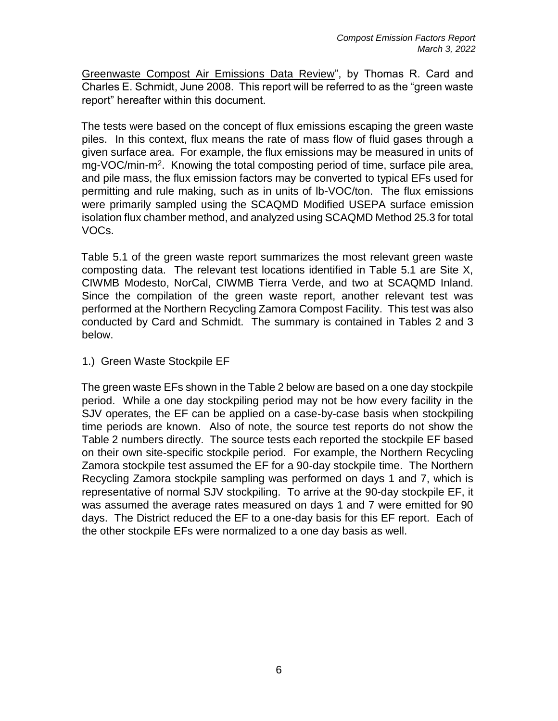Greenwaste Compost Air Emissions Data Review", by Thomas R. Card and Charles E. Schmidt, June 2008. This report will be referred to as the "green waste report" hereafter within this document.

The tests were based on the concept of flux emissions escaping the green waste piles. In this context, flux means the rate of mass flow of fluid gases through a given surface area. For example, the flux emissions may be measured in units of mg-VOC/min-m<sup>2</sup>. Knowing the total composting period of time, surface pile area, and pile mass, the flux emission factors may be converted to typical EFs used for permitting and rule making, such as in units of lb-VOC/ton. The flux emissions were primarily sampled using the SCAQMD Modified USEPA surface emission isolation flux chamber method, and analyzed using SCAQMD Method 25.3 for total VOCs.

Table 5.1 of the green waste report summarizes the most relevant green waste composting data. The relevant test locations identified in Table 5.1 are Site X, CIWMB Modesto, NorCal, CIWMB Tierra Verde, and two at SCAQMD Inland. Since the compilation of the green waste report, another relevant test was performed at the Northern Recycling Zamora Compost Facility. This test was also conducted by Card and Schmidt. The summary is contained in Tables 2 and 3 below.

1.) Green Waste Stockpile EF

The green waste EFs shown in the Table 2 below are based on a one day stockpile period. While a one day stockpiling period may not be how every facility in the SJV operates, the EF can be applied on a case-by-case basis when stockpiling time periods are known. Also of note, the source test reports do not show the Table 2 numbers directly. The source tests each reported the stockpile EF based on their own site-specific stockpile period. For example, the Northern Recycling Zamora stockpile test assumed the EF for a 90-day stockpile time. The Northern Recycling Zamora stockpile sampling was performed on days 1 and 7, which is representative of normal SJV stockpiling. To arrive at the 90-day stockpile EF, it was assumed the average rates measured on days 1 and 7 were emitted for 90 days. The District reduced the EF to a one-day basis for this EF report. Each of the other stockpile EFs were normalized to a one day basis as well.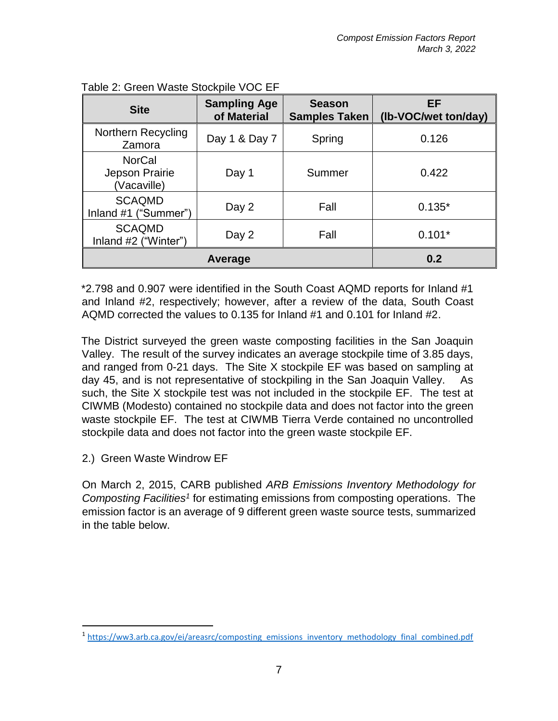| <b>Site</b>                                    | <b>Sampling Age</b><br>of Material | <b>Season</b><br><b>Samples Taken</b> | EF<br>(Ib-VOC/wet ton/day) |
|------------------------------------------------|------------------------------------|---------------------------------------|----------------------------|
| Northern Recycling<br>Zamora                   | Day 1 & Day 7                      | Spring                                | 0.126                      |
| <b>NorCal</b><br>Jepson Prairie<br>(Vacaville) | Day 1                              | Summer                                | 0.422                      |
| <b>SCAQMD</b><br>Inland #1 ("Summer")          | Day 2                              | Fall                                  | $0.135*$                   |
| <b>SCAQMD</b><br>Inland #2 ("Winter")          | Day 2                              | Fall                                  | $0.101*$                   |
| Average                                        |                                    |                                       | 0.2                        |

| Table 2: Green Waste Stockpile VOC EF |  |  |  |  |  |
|---------------------------------------|--|--|--|--|--|
|---------------------------------------|--|--|--|--|--|

\*2.798 and 0.907 were identified in the South Coast AQMD reports for Inland #1 and Inland #2, respectively; however, after a review of the data, South Coast AQMD corrected the values to 0.135 for Inland #1 and 0.101 for Inland #2.

The District surveyed the green waste composting facilities in the San Joaquin Valley. The result of the survey indicates an average stockpile time of 3.85 days, and ranged from 0-21 days. The Site X stockpile EF was based on sampling at day 45, and is not representative of stockpiling in the San Joaquin Valley. As such, the Site X stockpile test was not included in the stockpile EF. The test at CIWMB (Modesto) contained no stockpile data and does not factor into the green waste stockpile EF. The test at CIWMB Tierra Verde contained no uncontrolled stockpile data and does not factor into the green waste stockpile EF.

2.) Green Waste Windrow EF

 $\overline{\phantom{a}}$ 

On March 2, 2015, CARB published *ARB Emissions Inventory Methodology for*  Composting Facilities<sup>1</sup> for estimating emissions from composting operations. The emission factor is an average of 9 different green waste source tests, summarized in the table below.

<sup>&</sup>lt;sup>1</sup> [https://ww3.arb.ca.gov/ei/areasrc/composting\\_emissions\\_inventory\\_methodology\\_final\\_combined.pdf](https://ww3.arb.ca.gov/ei/areasrc/composting_emissions_inventory_methodology_final_combined.pdf)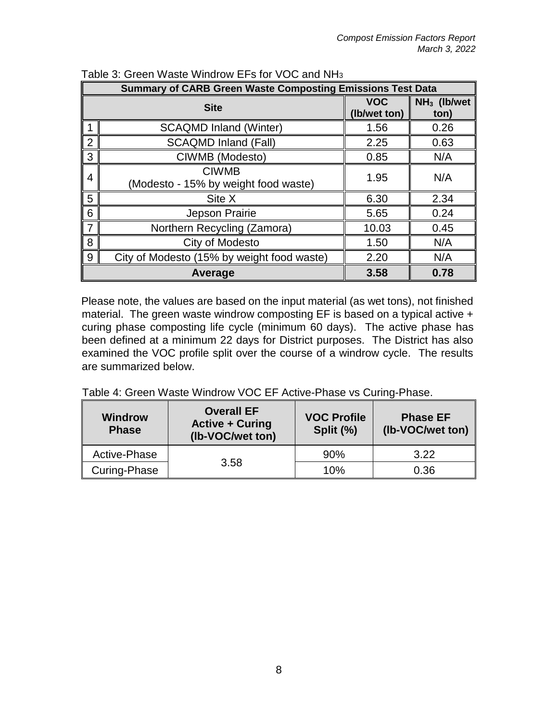| <b>Summary of CARB Green Waste Composting Emissions Test Data</b> |                                                      |                            |                                 |  |
|-------------------------------------------------------------------|------------------------------------------------------|----------------------------|---------------------------------|--|
| <b>Site</b>                                                       |                                                      | <b>VOC</b><br>(Ib/wet ton) | NH <sub>3</sub> (lb/wet<br>ton) |  |
|                                                                   | <b>SCAQMD Inland (Winter)</b>                        | 1.56                       | 0.26                            |  |
| 2                                                                 | <b>SCAQMD Inland (Fall)</b>                          | 2.25                       | 0.63                            |  |
| 3                                                                 | CIWMB (Modesto)                                      | 0.85                       | N/A                             |  |
| 4                                                                 | <b>CIWMB</b><br>(Modesto - 15% by weight food waste) | 1.95                       | N/A                             |  |
| 5                                                                 | Site X                                               | 6.30                       | 2.34                            |  |
| 6                                                                 | Jepson Prairie                                       | 5.65                       | 0.24                            |  |
| 7                                                                 | Northern Recycling (Zamora)                          | 10.03                      | 0.45                            |  |
| 8                                                                 | City of Modesto                                      | 1.50                       | N/A                             |  |
| 9                                                                 | City of Modesto (15% by weight food waste)           | 2.20                       | N/A                             |  |
|                                                                   | Average                                              | 3.58                       | 0.78                            |  |

Table 3: Green Waste Windrow EFs for VOC and NH<sup>3</sup>

Please note, the values are based on the input material (as wet tons), not finished material. The green waste windrow composting EF is based on a typical active + curing phase composting life cycle (minimum 60 days). The active phase has been defined at a minimum 22 days for District purposes. The District has also examined the VOC profile split over the course of a windrow cycle. The results are summarized below.

Table 4: Green Waste Windrow VOC EF Active-Phase vs Curing-Phase.

| <b>Windrow</b><br><b>Phase</b> | <b>Overall EF</b><br><b>Active + Curing</b><br>(Ib-VOC/wet ton) | <b>VOC Profile</b><br>Split (%) | <b>Phase EF</b><br>(Ib-VOC/wet ton) |
|--------------------------------|-----------------------------------------------------------------|---------------------------------|-------------------------------------|
| Active-Phase                   |                                                                 | 90%                             | 3.22                                |
| Curing-Phase                   | 3.58                                                            | 10%                             | 0.36                                |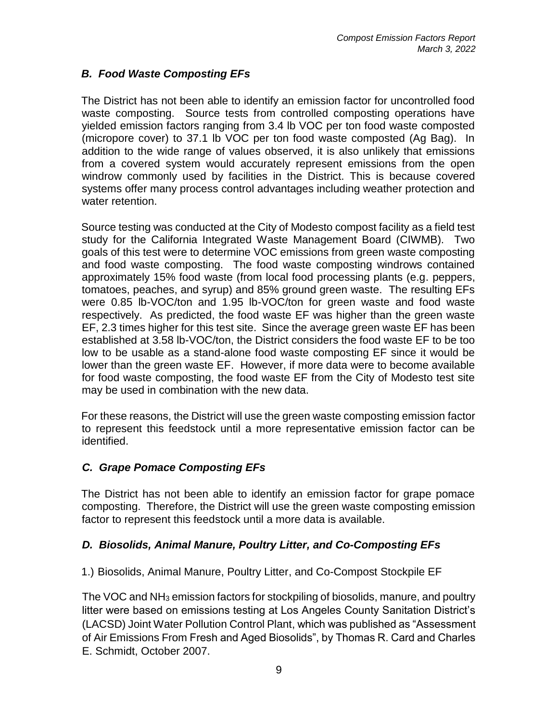# *B. Food Waste Composting EFs*

The District has not been able to identify an emission factor for uncontrolled food waste composting. Source tests from controlled composting operations have yielded emission factors ranging from 3.4 lb VOC per ton food waste composted (micropore cover) to 37.1 lb VOC per ton food waste composted (Ag Bag). In addition to the wide range of values observed, it is also unlikely that emissions from a covered system would accurately represent emissions from the open windrow commonly used by facilities in the District. This is because covered systems offer many process control advantages including weather protection and water retention.

Source testing was conducted at the City of Modesto compost facility as a field test study for the California Integrated Waste Management Board (CIWMB). Two goals of this test were to determine VOC emissions from green waste composting and food waste composting. The food waste composting windrows contained approximately 15% food waste (from local food processing plants (e.g. peppers, tomatoes, peaches, and syrup) and 85% ground green waste. The resulting EFs were 0.85 lb-VOC/ton and 1.95 lb-VOC/ton for green waste and food waste respectively. As predicted, the food waste EF was higher than the green waste EF, 2.3 times higher for this test site. Since the average green waste EF has been established at 3.58 lb-VOC/ton, the District considers the food waste EF to be too low to be usable as a stand-alone food waste composting EF since it would be lower than the green waste EF. However, if more data were to become available for food waste composting, the food waste EF from the City of Modesto test site may be used in combination with the new data.

For these reasons, the District will use the green waste composting emission factor to represent this feedstock until a more representative emission factor can be identified.

## *C. Grape Pomace Composting EFs*

The District has not been able to identify an emission factor for grape pomace composting. Therefore, the District will use the green waste composting emission factor to represent this feedstock until a more data is available.

#### *D. Biosolids, Animal Manure, Poultry Litter, and Co-Composting EFs*

1.) Biosolids, Animal Manure, Poultry Litter, and Co-Compost Stockpile EF

The VOC and NH<sup>3</sup> emission factors for stockpiling of biosolids, manure, and poultry litter were based on emissions testing at Los Angeles County Sanitation District's (LACSD) Joint Water Pollution Control Plant, which was published as "Assessment of Air Emissions From Fresh and Aged Biosolids", by Thomas R. Card and Charles E. Schmidt, October 2007.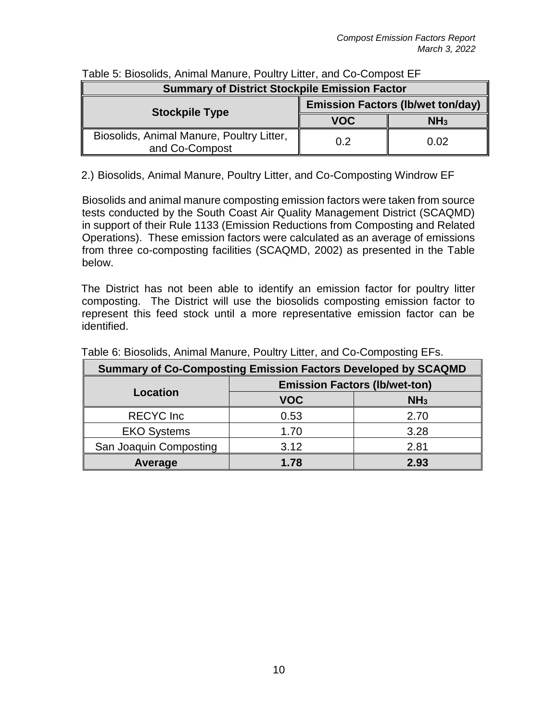| <b>Summary of District Stockpile Emission Factor</b>        |                                          |                 |  |
|-------------------------------------------------------------|------------------------------------------|-----------------|--|
| <b>Stockpile Type</b>                                       | <b>Emission Factors (Ib/wet ton/day)</b> |                 |  |
|                                                             | <b>VOC</b>                               | NH <sub>3</sub> |  |
| Biosolids, Animal Manure, Poultry Litter,<br>and Co-Compost | 02                                       | 0.02            |  |

### Table 5: Biosolids, Animal Manure, Poultry Litter, and Co-Compost EF

2.) Biosolids, Animal Manure, Poultry Litter, and Co-Composting Windrow EF

Biosolids and animal manure composting emission factors were taken from source tests conducted by the South Coast Air Quality Management District (SCAQMD) in support of their Rule 1133 (Emission Reductions from Composting and Related Operations). These emission factors were calculated as an average of emissions from three co-composting facilities (SCAQMD, 2002) as presented in the Table below.

The District has not been able to identify an emission factor for poultry litter composting. The District will use the biosolids composting emission factor to represent this feed stock until a more representative emission factor can be identified.

| <b>Summary of Co-Composting Emission Factors Developed by SCAQMD</b> |                                      |                 |  |
|----------------------------------------------------------------------|--------------------------------------|-----------------|--|
|                                                                      | <b>Emission Factors (Ib/wet-ton)</b> |                 |  |
| Location                                                             | <b>VOC</b>                           | NH <sub>3</sub> |  |
| <b>RECYC</b> Inc                                                     | 0.53                                 | 2.70            |  |
| <b>EKO Systems</b>                                                   | 1.70                                 | 3.28            |  |
| San Joaquin Composting                                               | 3.12                                 | 2.81            |  |
| Average                                                              | 1.78                                 | 2.93            |  |

Table 6: Biosolids, Animal Manure, Poultry Litter, and Co-Composting EFs.